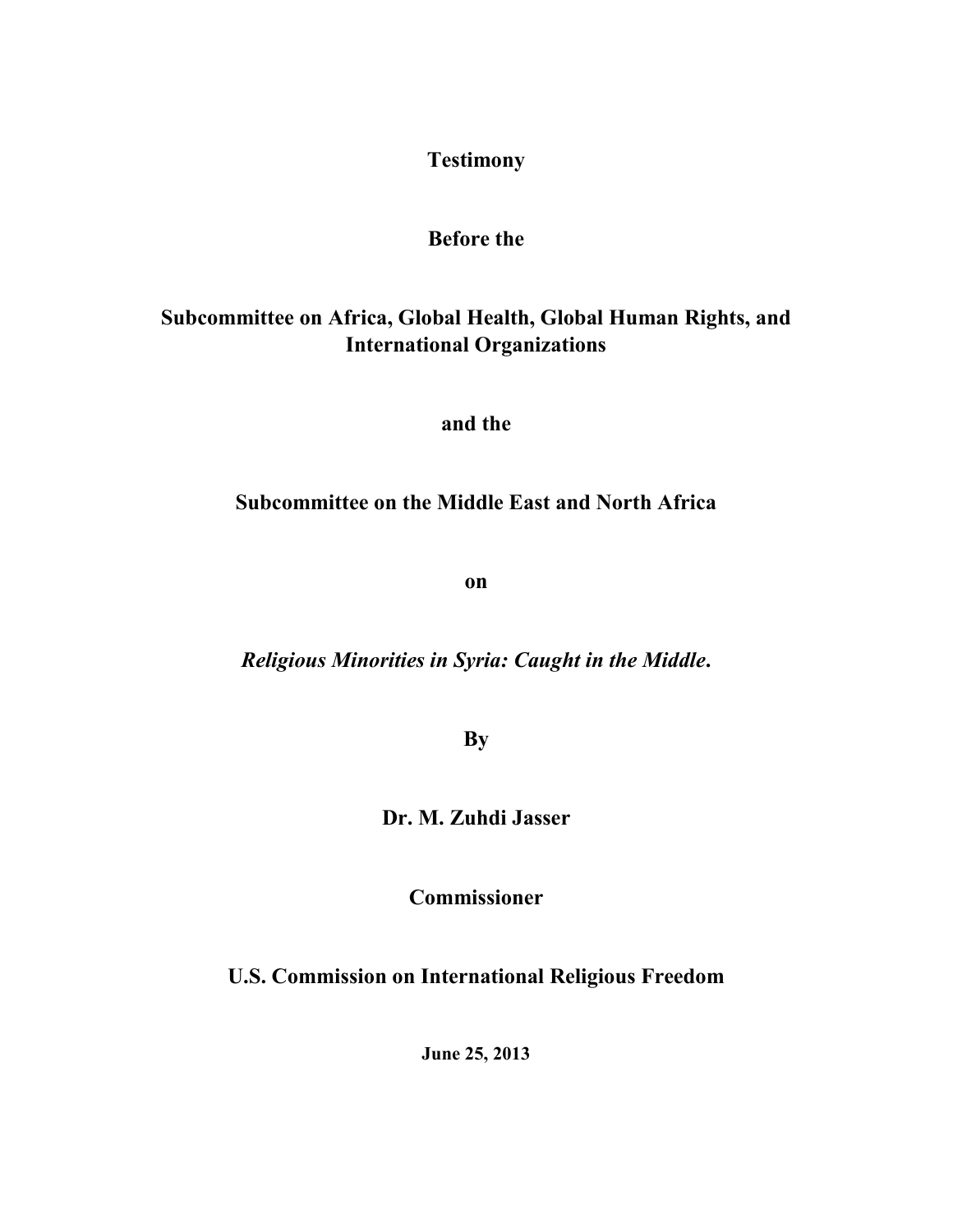## **Testimony**

## **Before the**

# **[Subcommittee on Africa, Global Health, Global Human Rights, and](http://foreignaffairs.house.gov/subcommittees/africa-global-health-global-human-rights-and-international-organizations)  [International Organizations](http://foreignaffairs.house.gov/subcommittees/africa-global-health-global-human-rights-and-international-organizations)**

**and the**

## **[Subcommittee on the Middle East and North Africa](http://foreignaffairs.house.gov/subcommittees/the-middle-east-and-north-africa)**

**on** 

*Religious Minorities in Syria: Caught in the Middle***.** 

**By**

**Dr. M. Zuhdi Jasser**

**Commissioner**

**U.S. Commission on International Religious Freedom** 

**June 25, 2013**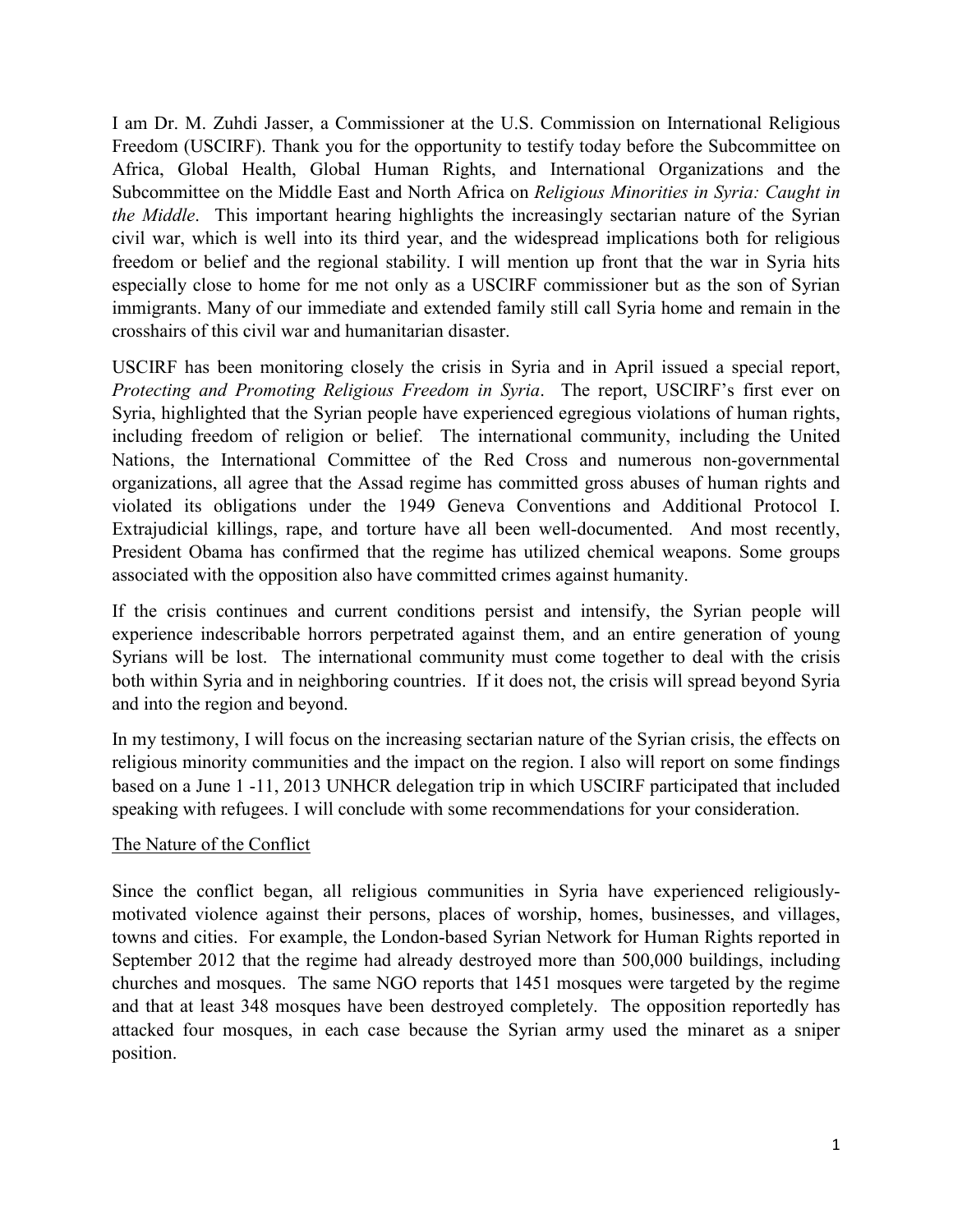I am Dr. M. Zuhdi Jasser, a Commissioner at the U.S. Commission on International Religious Freedom (USCIRF). Thank you for the opportunity to testify today before the [Subcommittee on](http://foreignaffairs.house.gov/subcommittees/africa-global-health-global-human-rights-and-international-organizations)  [Africa, Global Health, Global Human Rights, and International Organizations](http://foreignaffairs.house.gov/subcommittees/africa-global-health-global-human-rights-and-international-organizations) and the [Subcommittee on the Middle East and North Africa](http://foreignaffairs.house.gov/subcommittees/the-middle-east-and-north-africa) on *Religious Minorities in Syria: Caught in the Middle*. This important hearing highlights the increasingly sectarian nature of the Syrian civil war, which is well into its third year, and the widespread implications both for religious freedom or belief and the regional stability. I will mention up front that the war in Syria hits especially close to home for me not only as a USCIRF commissioner but as the son of Syrian immigrants. Many of our immediate and extended family still call Syria home and remain in the crosshairs of this civil war and humanitarian disaster.

USCIRF has been monitoring closely the crisis in Syria and in April issued a special report, *Protecting and Promoting Religious Freedom in Syria*. The report, USCIRF's first ever on Syria, highlighted that the Syrian people have experienced egregious violations of human rights, including freedom of religion or belief. The international community, including the United Nations, the International Committee of the Red Cross and numerous non-governmental organizations, all agree that the Assad regime has committed gross abuses of human rights and violated its obligations under the 1949 Geneva Conventions and Additional Protocol I. Extrajudicial killings, rape, and torture have all been well-documented. And most recently, President Obama has confirmed that the regime has utilized chemical weapons. Some groups associated with the opposition also have committed crimes against humanity.

If the crisis continues and current conditions persist and intensify, the Syrian people will experience indescribable horrors perpetrated against them, and an entire generation of young Syrians will be lost. The international community must come together to deal with the crisis both within Syria and in neighboring countries. If it does not, the crisis will spread beyond Syria and into the region and beyond.

In my testimony, I will focus on the increasing sectarian nature of the Syrian crisis, the effects on religious minority communities and the impact on the region. I also will report on some findings based on a June 1 -11, 2013 UNHCR delegation trip in which USCIRF participated that included speaking with refugees. I will conclude with some recommendations for your consideration.

## The Nature of the Conflict

Since the conflict began, all religious communities in Syria have experienced religiouslymotivated violence against their persons, places of worship, homes, businesses, and villages, towns and cities. For example, the London-based Syrian Network for Human Rights reported in September 2012 that the regime had already destroyed more than 500,000 buildings, including churches and mosques. The same NGO reports that 1451 mosques were targeted by the regime and that at least 348 mosques have been destroyed completely. The opposition reportedly has attacked four mosques, in each case because the Syrian army used the minaret as a sniper position.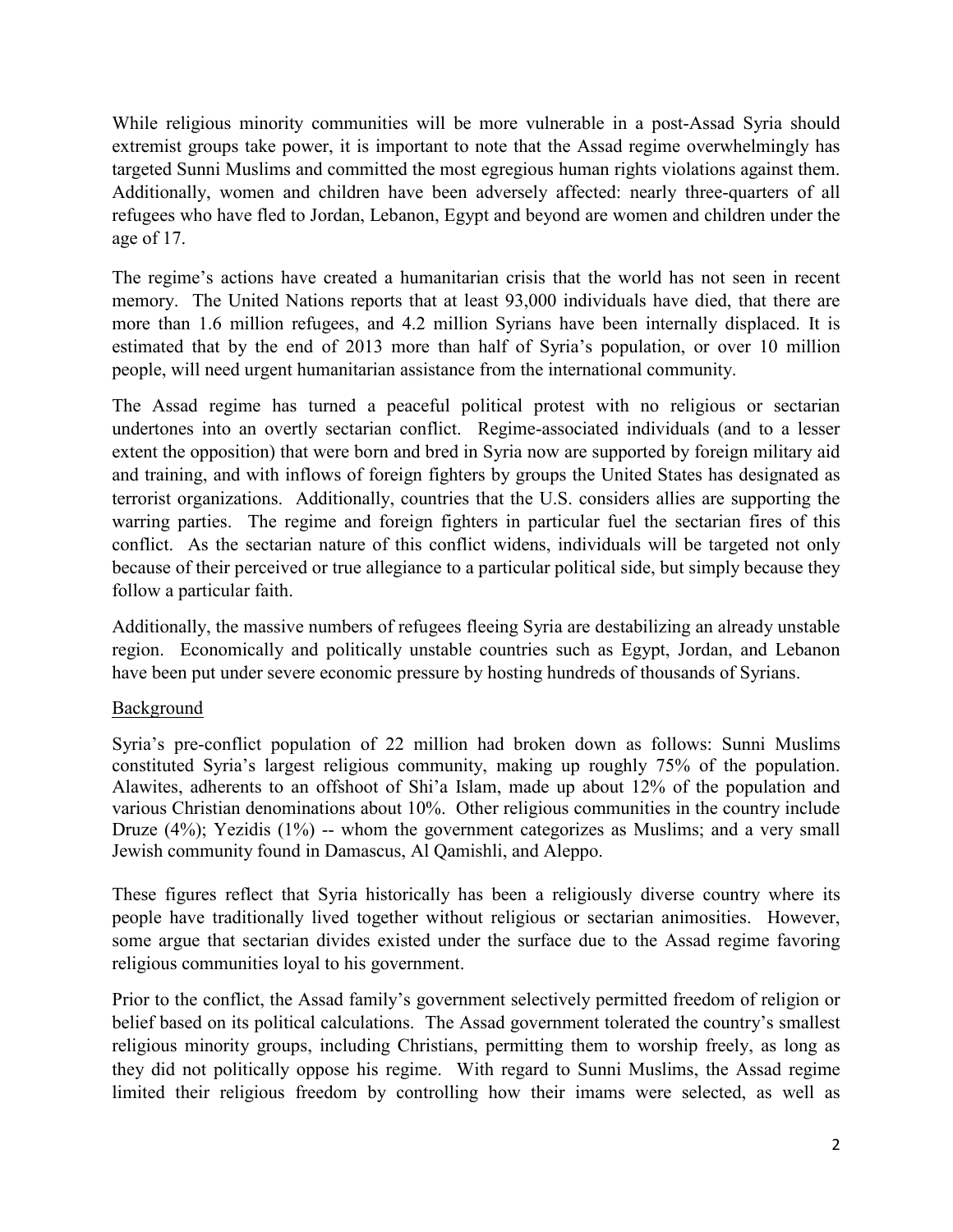While religious minority communities will be more vulnerable in a post-Assad Syria should extremist groups take power, it is important to note that the Assad regime overwhelmingly has targeted Sunni Muslims and committed the most egregious human rights violations against them. Additionally, women and children have been adversely affected: nearly three-quarters of all refugees who have fled to Jordan, Lebanon, Egypt and beyond are women and children under the age of 17.

The regime's actions have created a humanitarian crisis that the world has not seen in recent memory. The United Nations reports that at least 93,000 individuals have died, that there are more than 1.6 million refugees, and 4.2 million Syrians have been internally displaced. It is estimated that by the end of 2013 more than half of Syria's population, or over 10 million people, will need urgent humanitarian assistance from the international community.

The Assad regime has turned a peaceful political protest with no religious or sectarian undertones into an overtly sectarian conflict. Regime-associated individuals (and to a lesser extent the opposition) that were born and bred in Syria now are supported by foreign military aid and training, and with inflows of foreign fighters by groups the United States has designated as terrorist organizations. Additionally, countries that the U.S. considers allies are supporting the warring parties. The regime and foreign fighters in particular fuel the sectarian fires of this conflict. As the sectarian nature of this conflict widens, individuals will be targeted not only because of their perceived or true allegiance to a particular political side, but simply because they follow a particular faith.

Additionally, the massive numbers of refugees fleeing Syria are destabilizing an already unstable region. Economically and politically unstable countries such as Egypt, Jordan, and Lebanon have been put under severe economic pressure by hosting hundreds of thousands of Syrians.

## Background

Syria's pre-conflict population of 22 million had broken down as follows: Sunni Muslims constituted Syria's largest religious community, making up roughly 75% of the population. Alawites, adherents to an offshoot of Shi'a Islam, made up about 12% of the population and various Christian denominations about 10%. Other religious communities in the country include Druze (4%); Yezidis (1%) -- whom the government categorizes as Muslims; and a very small Jewish community found in Damascus, Al Qamishli, and Aleppo.

These figures reflect that Syria historically has been a religiously diverse country where its people have traditionally lived together without religious or sectarian animosities. However, some argue that sectarian divides existed under the surface due to the Assad regime favoring religious communities loyal to his government.

Prior to the conflict, the Assad family's government selectively permitted freedom of religion or belief based on its political calculations. The Assad government tolerated the country's smallest religious minority groups, including Christians, permitting them to worship freely, as long as they did not politically oppose his regime. With regard to Sunni Muslims, the Assad regime limited their religious freedom by controlling how their imams were selected, as well as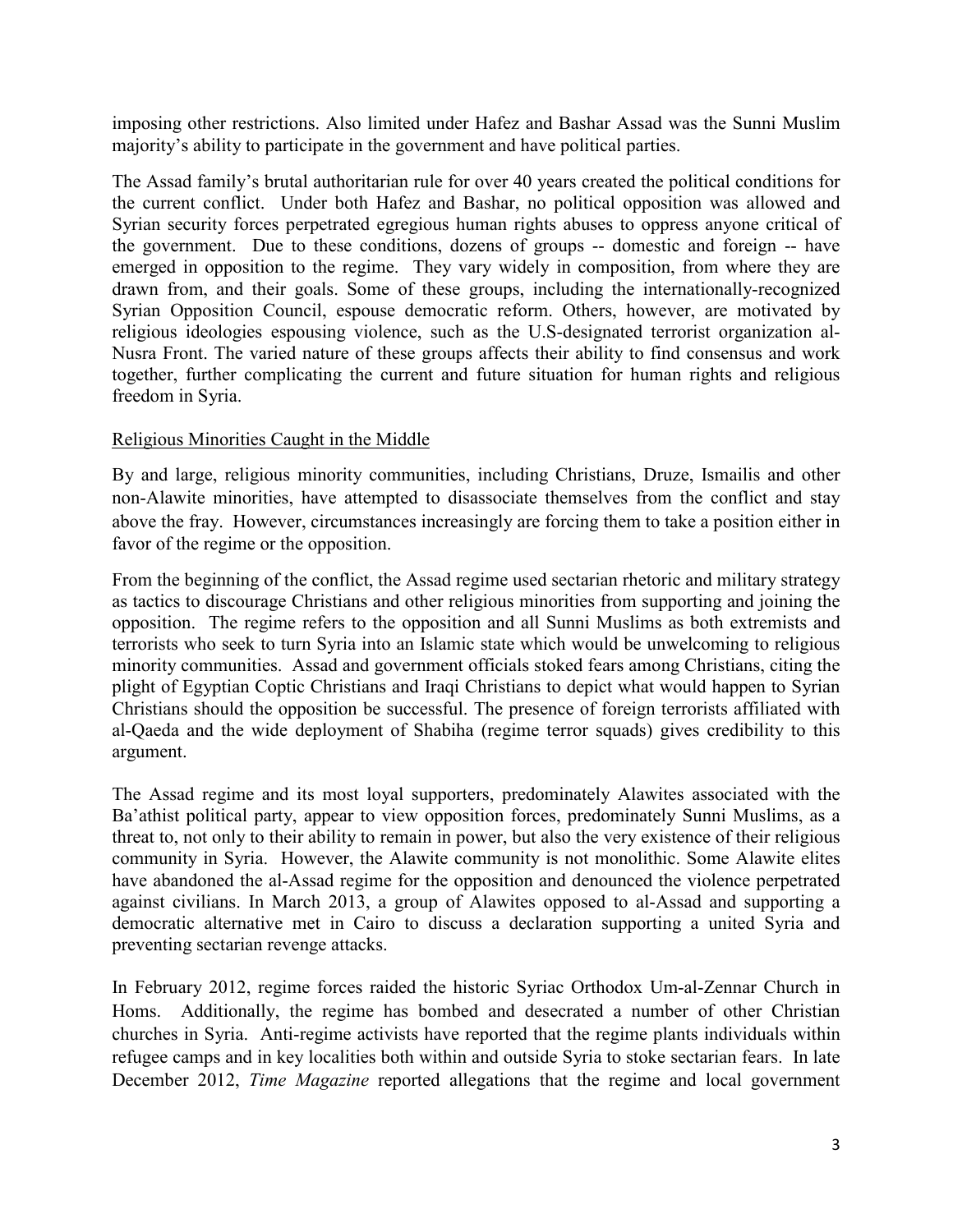imposing other restrictions. Also limited under Hafez and Bashar Assad was the Sunni Muslim majority's ability to participate in the government and have political parties.

The Assad family's brutal authoritarian rule for over 40 years created the political conditions for the current conflict. Under both Hafez and Bashar, no political opposition was allowed and Syrian security forces perpetrated egregious human rights abuses to oppress anyone critical of the government. Due to these conditions, dozens of groups -- domestic and foreign -- have emerged in opposition to the regime. They vary widely in composition, from where they are drawn from, and their goals. Some of these groups, including the internationally-recognized Syrian Opposition Council, espouse democratic reform. Others, however, are motivated by religious ideologies espousing violence, such as the U.S-designated terrorist organization al-Nusra Front. The varied nature of these groups affects their ability to find consensus and work together, further complicating the current and future situation for human rights and religious freedom in Syria.

## Religious Minorities Caught in the Middle

By and large, religious minority communities, including Christians, Druze, Ismailis and other non-Alawite minorities, have attempted to disassociate themselves from the conflict and stay above the fray. However, circumstances increasingly are forcing them to take a position either in favor of the regime or the opposition.

From the beginning of the conflict, the Assad regime used sectarian rhetoric and military strategy as tactics to discourage Christians and other religious minorities from supporting and joining the opposition. The regime refers to the opposition and all Sunni Muslims as both extremists and terrorists who seek to turn Syria into an Islamic state which would be unwelcoming to religious minority communities. Assad and government officials stoked fears among Christians, citing the plight of Egyptian Coptic Christians and Iraqi Christians to depict what would happen to Syrian Christians should the opposition be successful. The presence of foreign terrorists affiliated with al-Qaeda and the wide deployment of Shabiha (regime terror squads) gives credibility to this argument.

The Assad regime and its most loyal supporters, predominately Alawites associated with the Ba'athist political party, appear to view opposition forces, predominately Sunni Muslims, as a threat to, not only to their ability to remain in power, but also the very existence of their religious community in Syria. However, the Alawite community is not monolithic. Some Alawite elites have abandoned the al-Assad regime for the opposition and denounced the violence perpetrated against civilians. In March 2013, a group of Alawites opposed to al-Assad and supporting a democratic alternative met in Cairo to discuss a declaration supporting a united Syria and preventing sectarian revenge attacks.

In February 2012, regime forces raided the historic Syriac Orthodox Um-al-Zennar Church in Homs. Additionally, the regime has bombed and desecrated a number of other Christian churches in Syria. Anti-regime activists have reported that the regime plants individuals within refugee camps and in key localities both within and outside Syria to stoke sectarian fears. In late December 2012, *Time Magazine* reported allegations that the regime and local government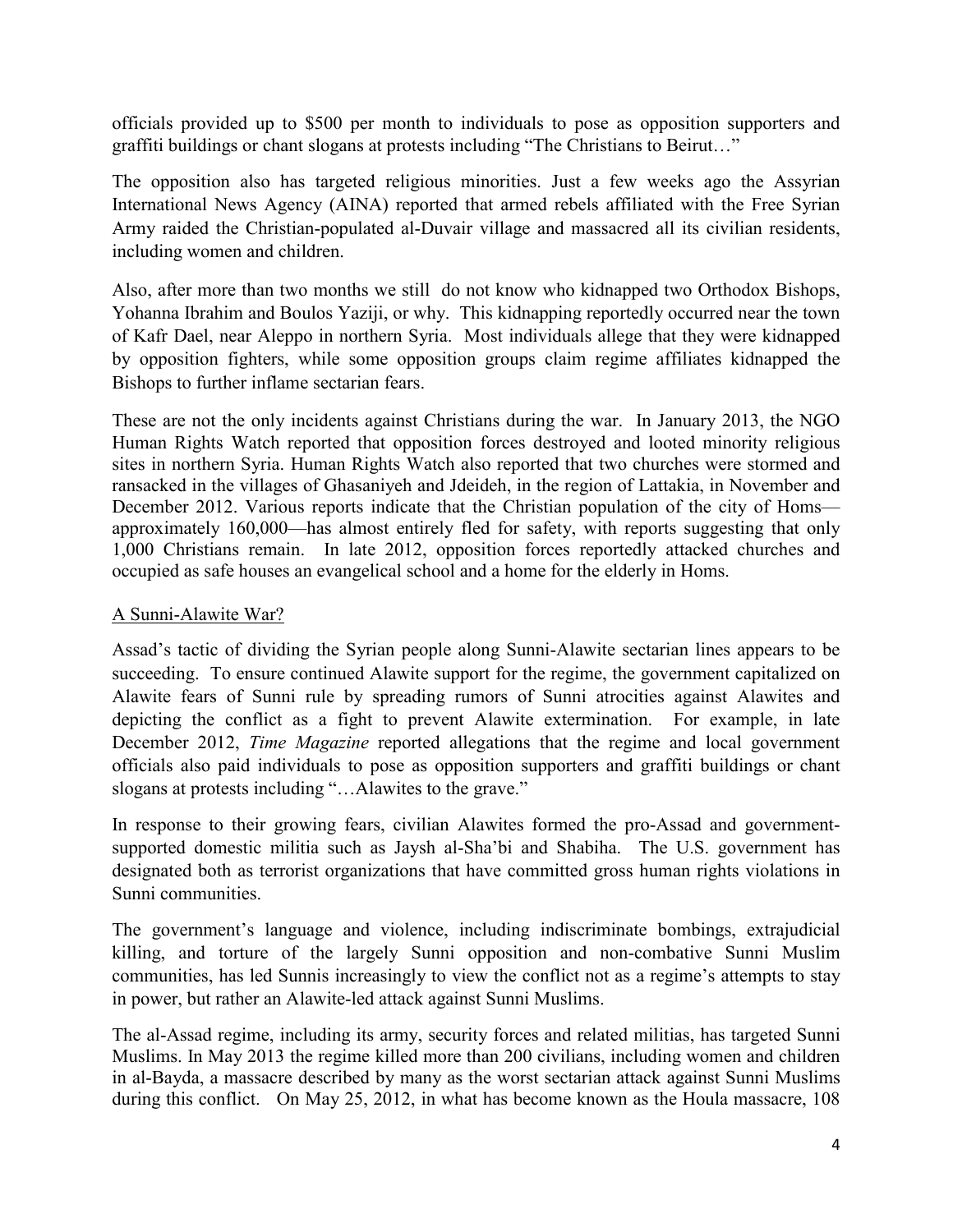officials provided up to \$500 per month to individuals to pose as opposition supporters and graffiti buildings or chant slogans at protests including "The Christians to Beirut…"

The opposition also has targeted religious minorities. Just a few weeks ago the Assyrian International News Agency (AINA) reported that armed rebels affiliated with the Free Syrian Army raided the Christian-populated al-Duvair village and massacred all its civilian residents, including women and children.

Also, after more than two months we still do not know who kidnapped two Orthodox Bishops, Yohanna Ibrahim and Boulos Yaziji, or why. This kidnapping reportedly occurred near the town of Kafr Dael, near Aleppo in northern Syria. Most individuals allege that they were kidnapped by opposition fighters, while some opposition groups claim regime affiliates kidnapped the Bishops to further inflame sectarian fears.

These are not the only incidents against Christians during the war. In January 2013, the NGO Human Rights Watch reported that opposition forces destroyed and looted minority religious sites in northern Syria. Human Rights Watch also reported that two churches were stormed and ransacked in the villages of Ghasaniyeh and Jdeideh, in the region of Lattakia, in November and December 2012. Various reports indicate that the Christian population of the city of Homs approximately 160,000—has almost entirely fled for safety, with reports suggesting that only 1,000 Christians remain. In late 2012, opposition forces reportedly attacked churches and occupied as safe houses an evangelical school and a home for the elderly in Homs.

## A Sunni-Alawite War?

Assad's tactic of dividing the Syrian people along Sunni-Alawite sectarian lines appears to be succeeding. To ensure continued Alawite support for the regime, the government capitalized on Alawite fears of Sunni rule by spreading rumors of Sunni atrocities against Alawites and depicting the conflict as a fight to prevent Alawite extermination. For example, in late December 2012, *Time Magazine* reported allegations that the regime and local government officials also paid individuals to pose as opposition supporters and graffiti buildings or chant slogans at protests including "…Alawites to the grave."

In response to their growing fears, civilian Alawites formed the pro-Assad and governmentsupported domestic militia such as Jaysh al-Sha'bi and Shabiha. The U.S. government has designated both as terrorist organizations that have committed gross human rights violations in Sunni communities.

The government's language and violence, including indiscriminate bombings, extrajudicial killing, and torture of the largely Sunni opposition and non-combative Sunni Muslim communities, has led Sunnis increasingly to view the conflict not as a regime's attempts to stay in power, but rather an Alawite-led attack against Sunni Muslims.

The al-Assad regime, including its army, security forces and related militias, has targeted Sunni Muslims. In May 2013 the regime killed more than 200 civilians, including women and children in al-Bayda, a massacre described by many as the worst sectarian attack against Sunni Muslims during this conflict. On May 25, 2012, in what has become known as the Houla massacre, 108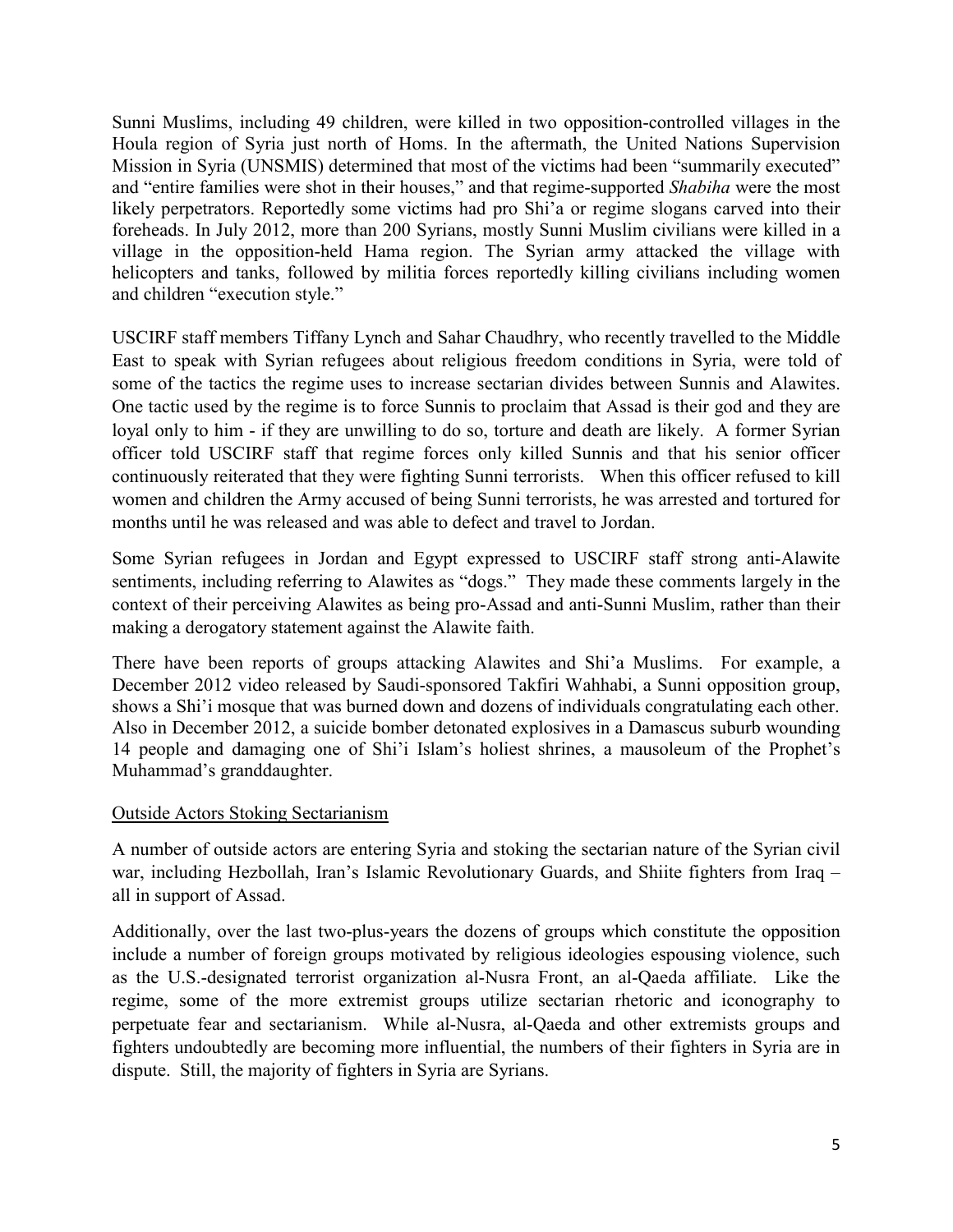Sunni Muslims, including 49 children, were killed in two opposition-controlled villages in the Houla region of Syria just north of Homs. In the aftermath, the United Nations Supervision Mission in Syria (UNSMIS) determined that most of the victims had been "summarily executed" and "entire families were shot in their houses," and that regime-supported *Shabiha* were the most likely perpetrators. Reportedly some victims had pro Shi'a or regime slogans carved into their foreheads. In July 2012, more than 200 Syrians, mostly Sunni Muslim civilians were killed in a village in the opposition-held Hama region. The Syrian army attacked the village with helicopters and tanks, followed by militia forces reportedly killing civilians including women and children "execution style."

USCIRF staff members Tiffany Lynch and Sahar Chaudhry, who recently travelled to the Middle East to speak with Syrian refugees about religious freedom conditions in Syria, were told of some of the tactics the regime uses to increase sectarian divides between Sunnis and Alawites. One tactic used by the regime is to force Sunnis to proclaim that Assad is their god and they are loyal only to him - if they are unwilling to do so, torture and death are likely. A former Syrian officer told USCIRF staff that regime forces only killed Sunnis and that his senior officer continuously reiterated that they were fighting Sunni terrorists. When this officer refused to kill women and children the Army accused of being Sunni terrorists, he was arrested and tortured for months until he was released and was able to defect and travel to Jordan.

Some Syrian refugees in Jordan and Egypt expressed to USCIRF staff strong anti-Alawite sentiments, including referring to Alawites as "dogs." They made these comments largely in the context of their perceiving Alawites as being pro-Assad and anti-Sunni Muslim, rather than their making a derogatory statement against the Alawite faith.

There have been reports of groups attacking Alawites and Shi'a Muslims. For example, a December 2012 video released by Saudi-sponsored Takfiri Wahhabi, a Sunni opposition group, shows a Shi'i mosque that was burned down and dozens of individuals congratulating each other. Also in December 2012, a suicide bomber detonated explosives in a Damascus suburb wounding 14 people and damaging one of Shi'i Islam's holiest shrines, a mausoleum of the Prophet's Muhammad's granddaughter.

## Outside Actors Stoking Sectarianism

A number of outside actors are entering Syria and stoking the sectarian nature of the Syrian civil war, including Hezbollah, Iran's Islamic Revolutionary Guards, and Shiite fighters from Iraq – all in support of Assad.

Additionally, over the last two-plus-years the dozens of groups which constitute the opposition include a number of foreign groups motivated by religious ideologies espousing violence, such as the U.S.-designated terrorist organization al-Nusra Front, an al-Qaeda affiliate. Like the regime, some of the more extremist groups utilize sectarian rhetoric and iconography to perpetuate fear and sectarianism. While al-Nusra, al-Qaeda and other extremists groups and fighters undoubtedly are becoming more influential, the numbers of their fighters in Syria are in dispute. Still, the majority of fighters in Syria are Syrians.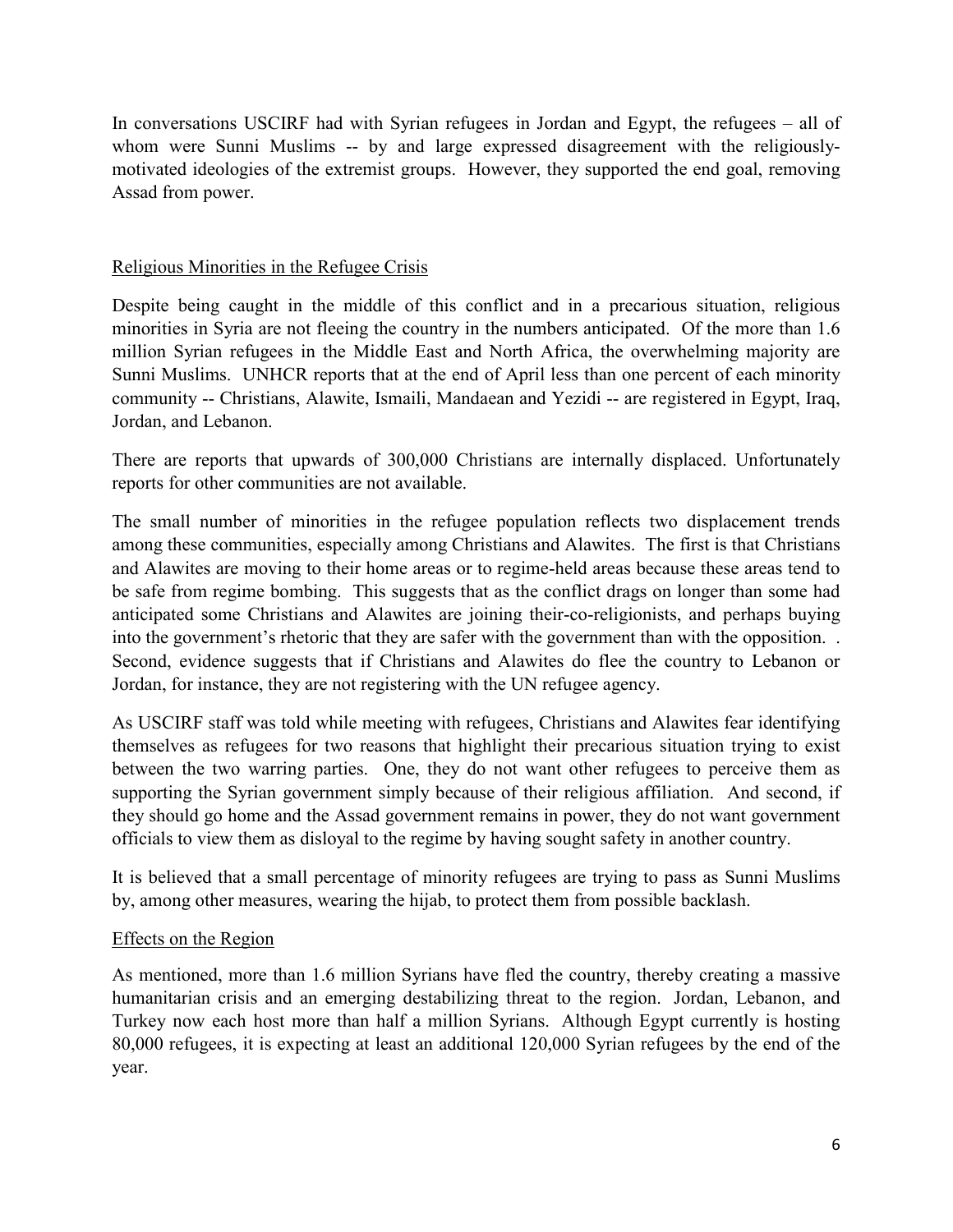In conversations USCIRF had with Syrian refugees in Jordan and Egypt, the refugees – all of whom were Sunni Muslims -- by and large expressed disagreement with the religiouslymotivated ideologies of the extremist groups. However, they supported the end goal, removing Assad from power.

#### Religious Minorities in the Refugee Crisis

Despite being caught in the middle of this conflict and in a precarious situation, religious minorities in Syria are not fleeing the country in the numbers anticipated. Of the more than 1.6 million Syrian refugees in the Middle East and North Africa, the overwhelming majority are Sunni Muslims. UNHCR reports that at the end of April less than one percent of each minority community -- Christians, Alawite, Ismaili, Mandaean and Yezidi -- are registered in Egypt, Iraq, Jordan, and Lebanon.

There are reports that upwards of 300,000 Christians are internally displaced. Unfortunately reports for other communities are not available.

The small number of minorities in the refugee population reflects two displacement trends among these communities, especially among Christians and Alawites. The first is that Christians and Alawites are moving to their home areas or to regime-held areas because these areas tend to be safe from regime bombing. This suggests that as the conflict drags on longer than some had anticipated some Christians and Alawites are joining their-co-religionists, and perhaps buying into the government's rhetoric that they are safer with the government than with the opposition. . Second, evidence suggests that if Christians and Alawites do flee the country to Lebanon or Jordan, for instance, they are not registering with the UN refugee agency.

As USCIRF staff was told while meeting with refugees, Christians and Alawites fear identifying themselves as refugees for two reasons that highlight their precarious situation trying to exist between the two warring parties. One, they do not want other refugees to perceive them as supporting the Syrian government simply because of their religious affiliation. And second, if they should go home and the Assad government remains in power, they do not want government officials to view them as disloyal to the regime by having sought safety in another country.

It is believed that a small percentage of minority refugees are trying to pass as Sunni Muslims by, among other measures, wearing the hijab, to protect them from possible backlash.

#### Effects on the Region

As mentioned, more than 1.6 million Syrians have fled the country, thereby creating a massive humanitarian crisis and an emerging destabilizing threat to the region. Jordan, Lebanon, and Turkey now each host more than half a million Syrians. Although Egypt currently is hosting 80,000 refugees, it is expecting at least an additional 120,000 Syrian refugees by the end of the year.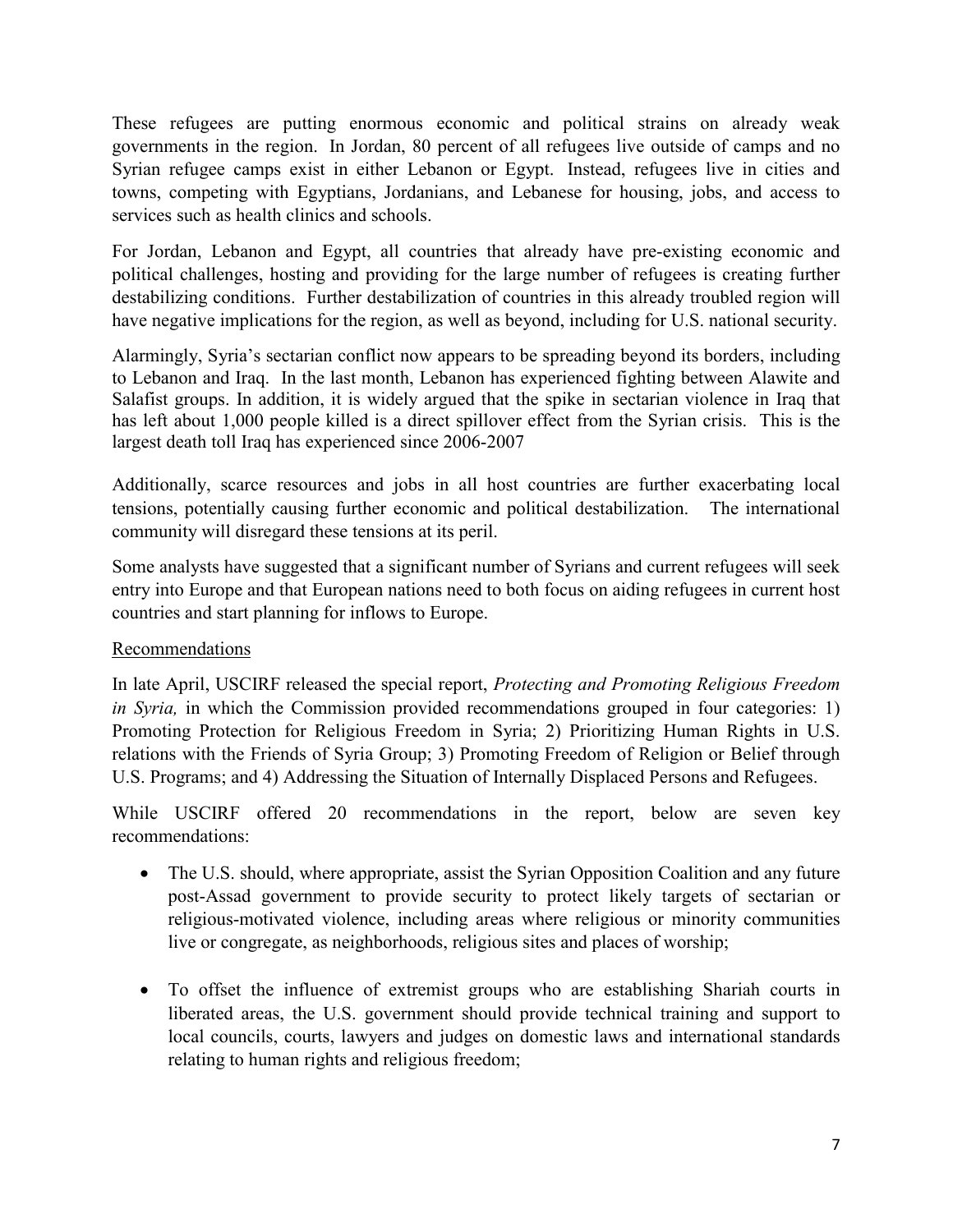These refugees are putting enormous economic and political strains on already weak governments in the region. In Jordan, 80 percent of all refugees live outside of camps and no Syrian refugee camps exist in either Lebanon or Egypt. Instead, refugees live in cities and towns, competing with Egyptians, Jordanians, and Lebanese for housing, jobs, and access to services such as health clinics and schools.

For Jordan, Lebanon and Egypt, all countries that already have pre-existing economic and political challenges, hosting and providing for the large number of refugees is creating further destabilizing conditions. Further destabilization of countries in this already troubled region will have negative implications for the region, as well as beyond, including for U.S. national security.

Alarmingly, Syria's sectarian conflict now appears to be spreading beyond its borders, including to Lebanon and Iraq. In the last month, Lebanon has experienced fighting between Alawite and Salafist groups. In addition, it is widely argued that the spike in sectarian violence in Iraq that has left about 1,000 people killed is a direct spillover effect from the Syrian crisis. This is the largest death toll Iraq has experienced since 2006-2007

Additionally, scarce resources and jobs in all host countries are further exacerbating local tensions, potentially causing further economic and political destabilization. The international community will disregard these tensions at its peril.

Some analysts have suggested that a significant number of Syrians and current refugees will seek entry into Europe and that European nations need to both focus on aiding refugees in current host countries and start planning for inflows to Europe.

## Recommendations

In late April, USCIRF released the special report, *Protecting and Promoting Religious Freedom in Syria*, in which the Commission provided recommendations grouped in four categories: 1) Promoting Protection for Religious Freedom in Syria; 2) Prioritizing Human Rights in U.S. relations with the Friends of Syria Group; 3) Promoting Freedom of Religion or Belief through U.S. Programs; and 4) Addressing the Situation of Internally Displaced Persons and Refugees.

While USCIRF offered 20 recommendations in the report, below are seven key recommendations:

- The U.S. should, where appropriate, assist the Syrian Opposition Coalition and any future post-Assad government to provide security to protect likely targets of sectarian or religious-motivated violence, including areas where religious or minority communities live or congregate, as neighborhoods, religious sites and places of worship;
- To offset the influence of extremist groups who are establishing Shariah courts in liberated areas, the U.S. government should provide technical training and support to local councils, courts, lawyers and judges on domestic laws and international standards relating to human rights and religious freedom;